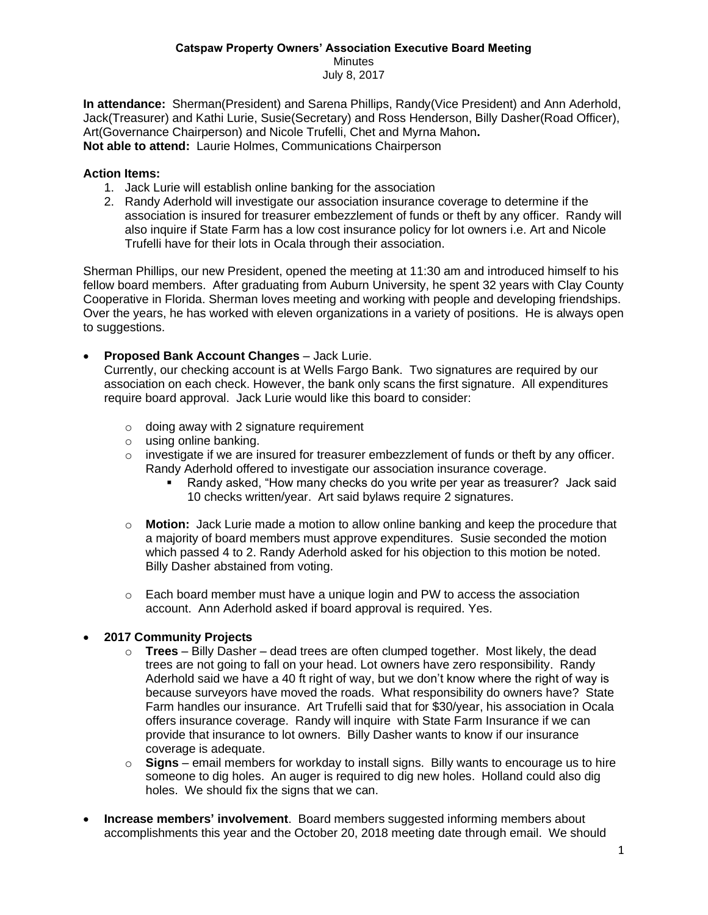## **Catspaw Property Owners' Association Executive Board Meeting** Minutes July 8, 2017

**In attendance:** Sherman(President) and Sarena Phillips, Randy(Vice President) and Ann Aderhold, Jack(Treasurer) and Kathi Lurie, Susie(Secretary) and Ross Henderson, Billy Dasher(Road Officer), Art(Governance Chairperson) and Nicole Trufelli, Chet and Myrna Mahon**. Not able to attend:** Laurie Holmes, Communications Chairperson

## **Action Items:**

- 1. Jack Lurie will establish online banking for the association
- 2. Randy Aderhold will investigate our association insurance coverage to determine if the association is insured for treasurer embezzlement of funds or theft by any officer. Randy will also inquire if State Farm has a low cost insurance policy for lot owners i.e. Art and Nicole Trufelli have for their lots in Ocala through their association.

Sherman Phillips, our new President, opened the meeting at 11:30 am and introduced himself to his fellow board members. After graduating from Auburn University, he spent 32 years with Clay County Cooperative in Florida. Sherman loves meeting and working with people and developing friendships. Over the years, he has worked with eleven organizations in a variety of positions. He is always open to suggestions.

• **Proposed Bank Account Changes** – Jack Lurie.

Currently, our checking account is at Wells Fargo Bank. Two signatures are required by our association on each check. However, the bank only scans the first signature. All expenditures require board approval. Jack Lurie would like this board to consider:

- $\circ$  doing away with 2 signature requirement
- o using online banking.
- $\circ$  investigate if we are insured for treasurer embezzlement of funds or theft by any officer. Randy Aderhold offered to investigate our association insurance coverage.
	- Randy asked, "How many checks do you write per year as treasurer? Jack said 10 checks written/year. Art said bylaws require 2 signatures.
- o **Motion:** Jack Lurie made a motion to allow online banking and keep the procedure that a majority of board members must approve expenditures. Susie seconded the motion which passed 4 to 2. Randy Aderhold asked for his objection to this motion be noted. Billy Dasher abstained from voting.
- $\circ$  Each board member must have a unique login and PW to access the association account. Ann Aderhold asked if board approval is required. Yes.

## • **2017 Community Projects**

- o **Trees** Billy Dasher dead trees are often clumped together. Most likely, the dead trees are not going to fall on your head. Lot owners have zero responsibility. Randy Aderhold said we have a 40 ft right of way, but we don't know where the right of way is because surveyors have moved the roads. What responsibility do owners have? State Farm handles our insurance. Art Trufelli said that for \$30/year, his association in Ocala offers insurance coverage. Randy will inquire with State Farm Insurance if we can provide that insurance to lot owners. Billy Dasher wants to know if our insurance coverage is adequate.
- o **Signs** email members for workday to install signs. Billy wants to encourage us to hire someone to dig holes. An auger is required to dig new holes. Holland could also dig holes. We should fix the signs that we can.
- **Increase members' involvement**. Board members suggested informing members about accomplishments this year and the October 20, 2018 meeting date through email. We should